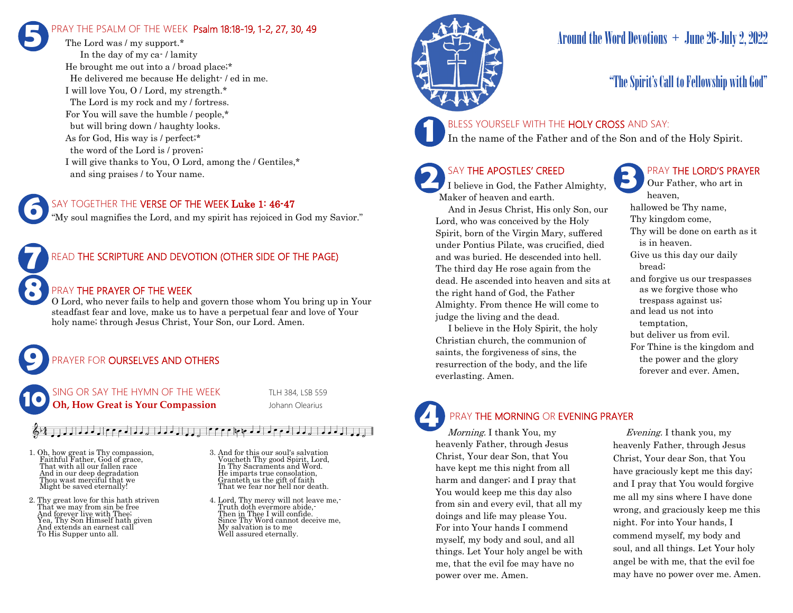# PRAY THE PSALM OF THE WEEK Psalm 18:18-19, 1-2, 27, 30, 49 **5**

The Lord was / my support.\* In the day of my ca- / lamity He brought me out into a / broad place;\* He delivered me because He delight- / ed in me. I will love You, O / Lord, my strength.\* The Lord is my rock and my / fortress. For You will save the humble / people,\* but will bring down / haughty looks. As for God, His way is / perfect;\* the word of the Lord is / proven; I will give thanks to You, O Lord, among the / Gentiles,\* and sing praises / to Your name.

### SAY TOGETHER THE VERSE OF THE WEEK Luke 1: 46-47

"My soul magnifies the Lord, and my spirit has rejoiced in God my Savior."



**6**

**9**

### READ THE SCRIPTURE AND DEVOTION (OTHER SIDE OF THE PAGE)

### PRAY THE PRAYER OF THE WEEK

O Lord, who never fails to help and govern those whom You bring up in Your steadfast fear and love, make us to have a perpetual fear and love of Your holy name; through Jesus Christ, Your Son, our Lord. Amen.

# PRAYER FOR **OURSELVES AND OTHERS**

NG OR SAY THE HYMN OF THE WEEK TLH 384, LSB 559 **Oh, How Great is Your Compassion** Johann Olearius **10**

## $\frac{1}{2}$   $\frac{1}{2}$   $\frac{1}{2}$   $\frac{1}{2}$   $\frac{1}{2}$   $\frac{1}{2}$   $\frac{1}{2}$   $\frac{1}{2}$   $\frac{1}{2}$   $\frac{1}{2}$   $\frac{1}{2}$   $\frac{1}{2}$   $\frac{1}{2}$   $\frac{1}{2}$   $\frac{1}{2}$   $\frac{1}{2}$   $\frac{1}{2}$   $\frac{1}{2}$   $\frac{1}{2}$   $\frac{1}{2}$

- 1. Oh, how great is Thy compassion, Faithful Father, God of grace, That with all our fallen race And in our deep degradation Thou wast merciful that we Might be saved eternally!
- 2. Thy great love for this hath striven That we may from sin be free And forever live with Thee; Yea, Thy Son Himself hath given And extends an earnest call To His Supper unto all.
- 3. And for this our soul's salvation Voucheth Thy good Spirit, Lord, In Thy Sacraments and Word. He imparts true consolation, Granteth us the gift of faith That we fear nor hell nor death.
- 4. Lord, Thy mercy will not leave me,- Truth doth evermore abide,- Then in Thee I will confide. Since Thy Word cannot deceive me, My salvation is to me Well assured eternally.



# Around the Word Devotions  $+$  June 26-July 2, 2022

# "The Spirit's Call to Fellowship with God"

### BLESS YOURSELF WITH THE HOLY CROSS AND SAY:

In the name of the Father and of the Son and of the Holy Spirit.

# SAY THE APOSTLES' CREED

I believe in God, the Father Almighty, Maker of heaven and earth.

 And in Jesus Christ, His only Son, our Lord, who was conceived by the Holy Spirit, born of the Virgin Mary, suffered under Pontius Pilate, was crucified, died and was buried. He descended into hell. The third day He rose again from the dead. He ascended into heaven and sits at the right hand of God, the Father Almighty. From thence He will come to judge the living and the dead.

 I believe in the Holy Spirit, the holy Christian church, the communion of saints, the forgiveness of sins, the resurrection of the body, and the life everlasting. Amen.



Our Father, who art in heaven, hallowed be Thy name, Thy kingdom come, Thy will be done on earth as it is in heaven. Give us this day our daily bread; and forgive us our trespasses as we forgive those who trespass against us; and lead us not into temptation, but deliver us from evil. For Thine is the kingdom and the power and the glory forever and ever. Amen.

# **4**

PRAY THE MORNING OR EVENING PRAYER

Morning. I thank You, my heavenly Father, through Jesus Christ, Your dear Son, that You have kept me this night from all harm and danger; and I pray that You would keep me this day also from sin and every evil, that all my doings and life may please You. For into Your hands I commend myself, my body and soul, and all things. Let Your holy angel be with me, that the evil foe may have no power over me. Amen.

 Evening. I thank you, my heavenly Father, through Jesus Christ, Your dear Son, that You have graciously kept me this day; and I pray that You would forgive me all my sins where I have done wrong, and graciously keep me this night. For into Your hands, I commend myself, my body and soul, and all things. Let Your holy angel be with me, that the evil foe may have no power over me. Amen.